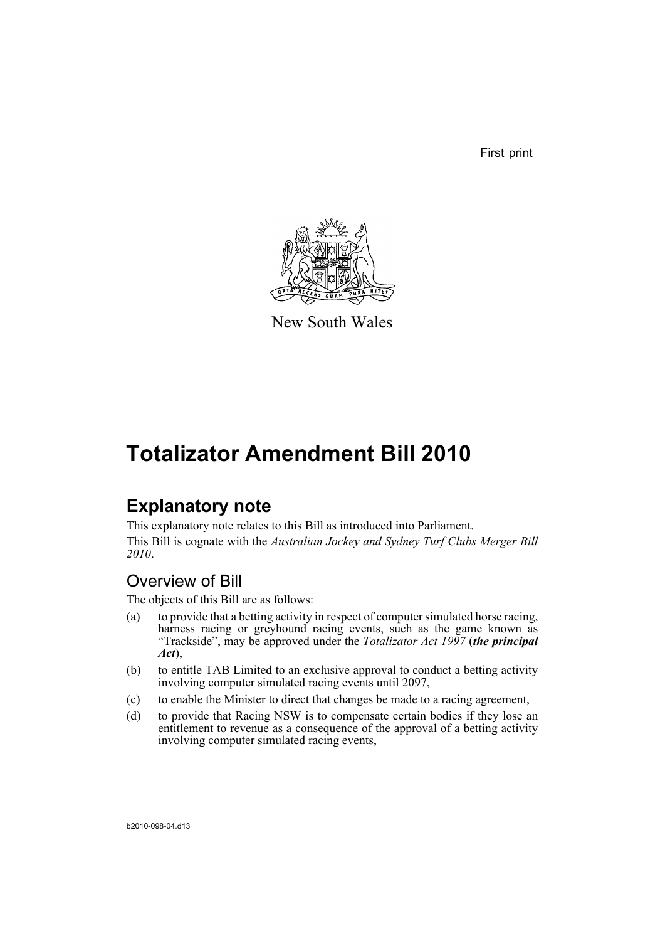First print



New South Wales

# **Totalizator Amendment Bill 2010**

# **Explanatory note**

This explanatory note relates to this Bill as introduced into Parliament. This Bill is cognate with the *Australian Jockey and Sydney Turf Clubs Merger Bill 2010*.

## Overview of Bill

The objects of this Bill are as follows:

- (a) to provide that a betting activity in respect of computer simulated horse racing, harness racing or greyhound racing events, such as the game known as "Trackside", may be approved under the *Totalizator Act 1997* (*the principal Act*),
- (b) to entitle TAB Limited to an exclusive approval to conduct a betting activity involving computer simulated racing events until 2097,
- (c) to enable the Minister to direct that changes be made to a racing agreement,
- (d) to provide that Racing NSW is to compensate certain bodies if they lose an entitlement to revenue as a consequence of the approval of a betting activity involving computer simulated racing events,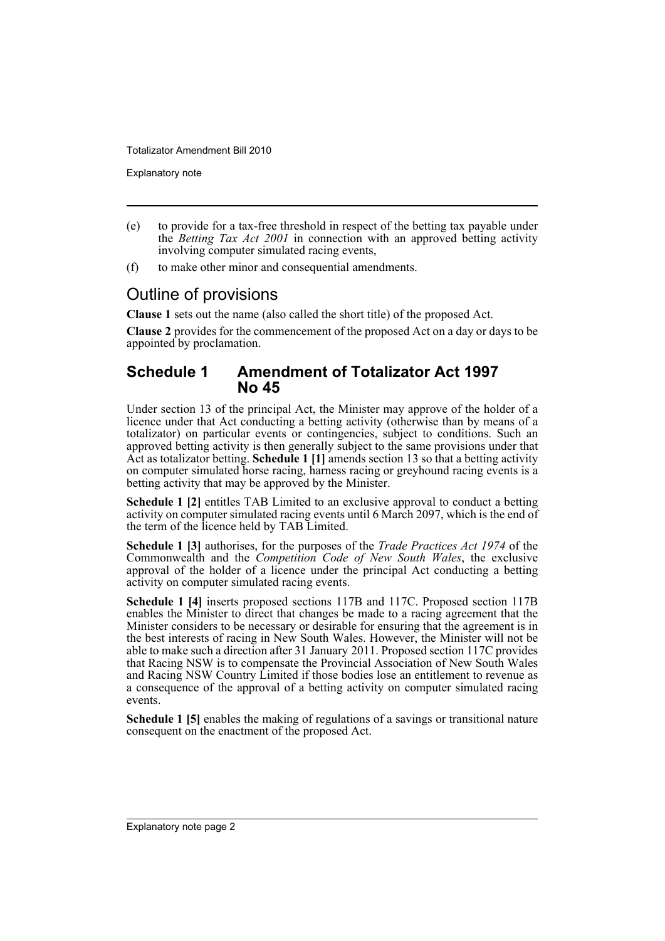Explanatory note

- (e) to provide for a tax-free threshold in respect of the betting tax payable under the *Betting Tax Act 2001* in connection with an approved betting activity involving computer simulated racing events,
- (f) to make other minor and consequential amendments.

### Outline of provisions

**Clause 1** sets out the name (also called the short title) of the proposed Act.

**Clause 2** provides for the commencement of the proposed Act on a day or days to be appointed by proclamation.

#### **Schedule 1 Amendment of Totalizator Act 1997 No 45**

Under section 13 of the principal Act, the Minister may approve of the holder of a licence under that Act conducting a betting activity (otherwise than by means of a totalizator) on particular events or contingencies, subject to conditions. Such an approved betting activity is then generally subject to the same provisions under that Act as totalizator betting. **Schedule 1 [1]** amends section 13 so that a betting activity on computer simulated horse racing, harness racing or greyhound racing events is a betting activity that may be approved by the Minister.

**Schedule 1 [2]** entitles TAB Limited to an exclusive approval to conduct a betting activity on computer simulated racing events until 6 March 2097, which is the end of the term of the licence held by TAB Limited.

**Schedule 1 [3]** authorises, for the purposes of the *Trade Practices Act 1974* of the Commonwealth and the *Competition Code of New South Wales*, the exclusive approval of the holder of a licence under the principal Act conducting a betting activity on computer simulated racing events.

**Schedule 1 [4]** inserts proposed sections 117B and 117C. Proposed section 117B enables the Minister to direct that changes be made to a racing agreement that the Minister considers to be necessary or desirable for ensuring that the agreement is in the best interests of racing in New South Wales. However, the Minister will not be able to make such a direction after 31 January 2011. Proposed section 117C provides that Racing NSW is to compensate the Provincial Association of New South Wales and Racing NSW Country Limited if those bodies lose an entitlement to revenue as a consequence of the approval of a betting activity on computer simulated racing events.

**Schedule 1 [5]** enables the making of regulations of a savings or transitional nature consequent on the enactment of the proposed Act.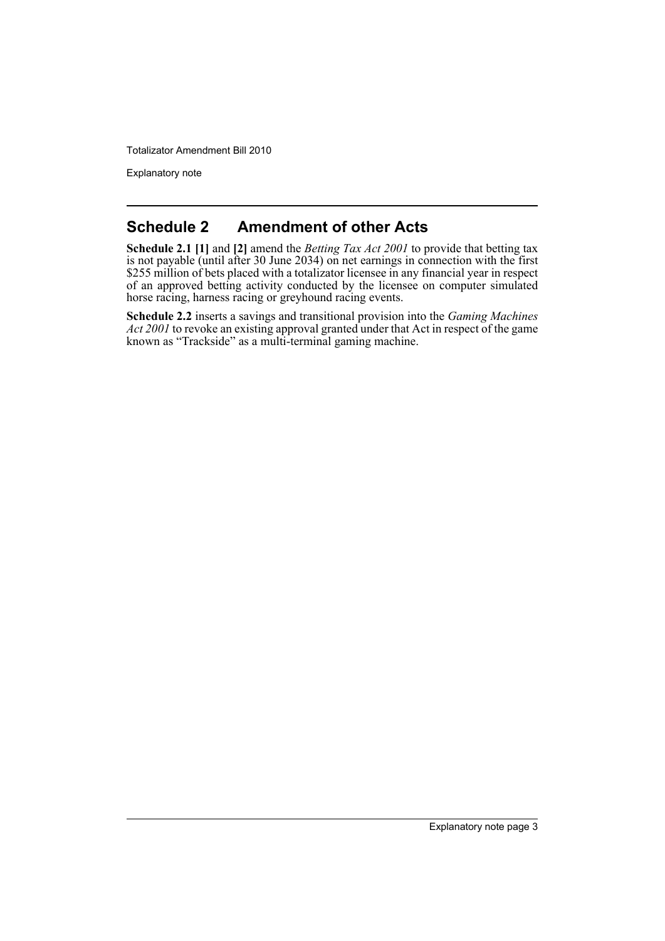Explanatory note

### **Schedule 2 Amendment of other Acts**

**Schedule 2.1 [1]** and **[2]** amend the *Betting Tax Act 2001* to provide that betting tax is not payable (until after 30 June 2034) on net earnings in connection with the first \$255 million of bets placed with a totalizator licensee in any financial year in respect of an approved betting activity conducted by the licensee on computer simulated horse racing, harness racing or greyhound racing events.

**Schedule 2.2** inserts a savings and transitional provision into the *Gaming Machines Act 2001* to revoke an existing approval granted under that Act in respect of the game known as "Trackside" as a multi-terminal gaming machine.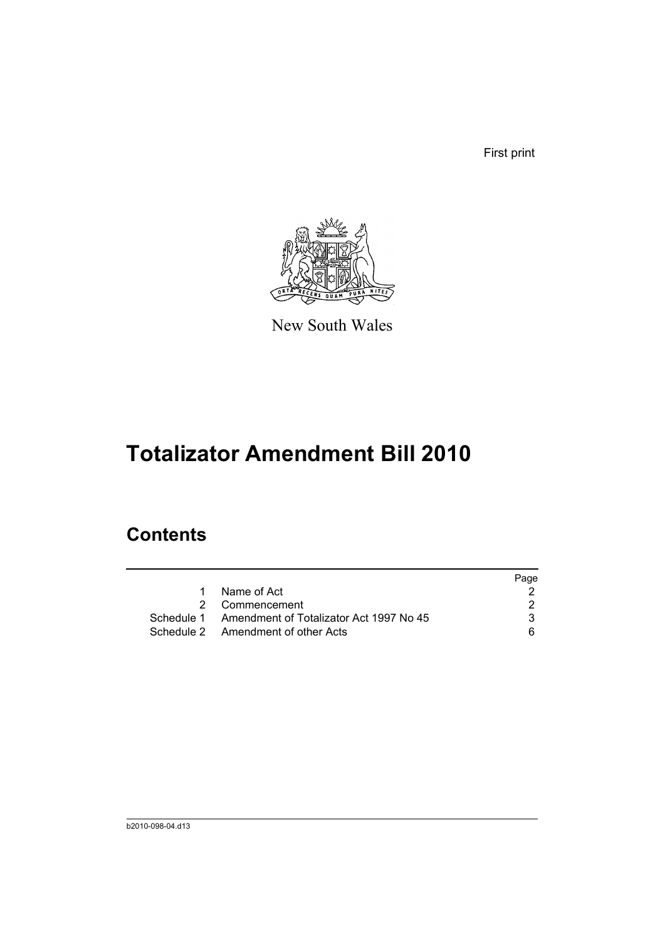First print



New South Wales

# **Totalizator Amendment Bill 2010**

## **Contents**

|                                                    | Page |
|----------------------------------------------------|------|
| Name of Act<br>1                                   |      |
| 2 Commencement                                     |      |
| Schedule 1 Amendment of Totalizator Act 1997 No 45 | 3    |
| Schedule 2 Amendment of other Acts                 | 6.   |
|                                                    |      |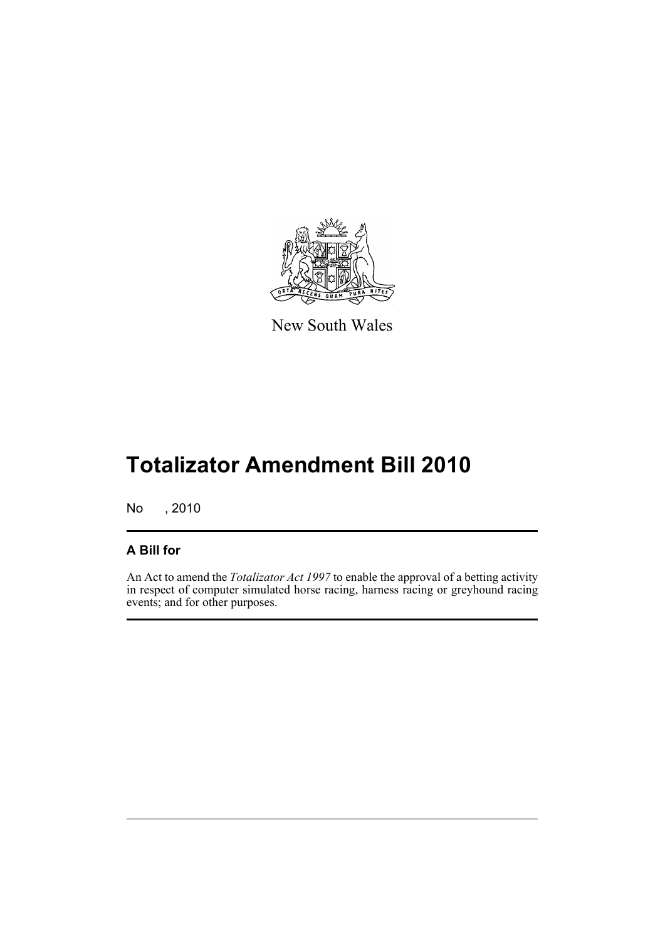

New South Wales

# **Totalizator Amendment Bill 2010**

No , 2010

#### **A Bill for**

An Act to amend the *Totalizator Act 1997* to enable the approval of a betting activity in respect of computer simulated horse racing, harness racing or greyhound racing events; and for other purposes.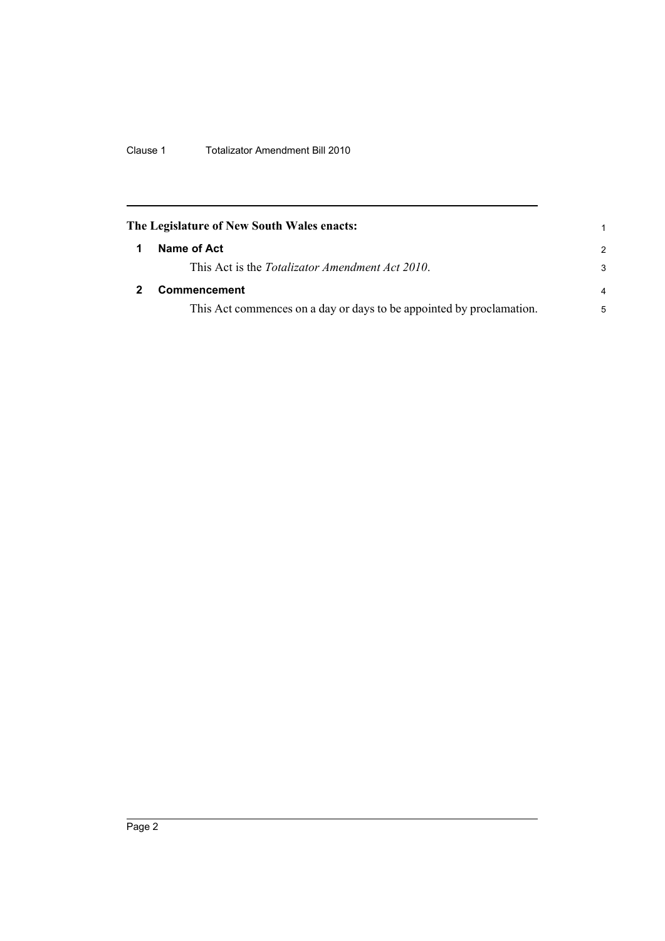Clause 1 Totalizator Amendment Bill 2010

<span id="page-7-1"></span><span id="page-7-0"></span>

| The Legislature of New South Wales enacts:                           |                |
|----------------------------------------------------------------------|----------------|
| Name of Act                                                          | 2              |
| This Act is the Totalizator Amendment Act 2010.                      | 3              |
| Commencement                                                         | $\overline{4}$ |
| This Act commences on a day or days to be appointed by proclamation. | 5              |
|                                                                      |                |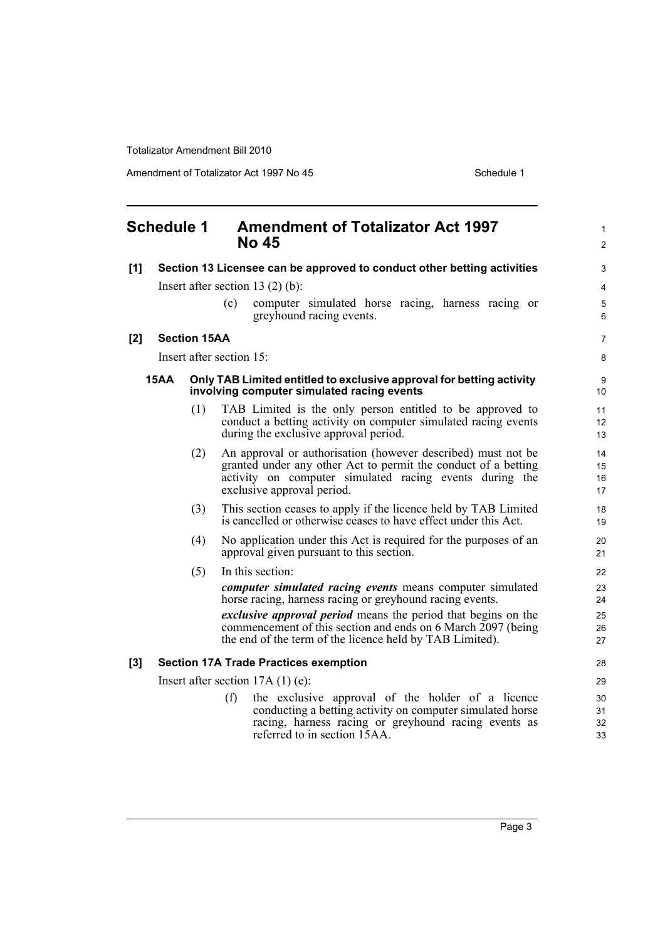Amendment of Totalizator Act 1997 No 45 Schedule 1

<span id="page-8-0"></span>

|       | <b>Schedule 1</b>                  |                     | <b>Amendment of Totalizator Act 1997</b><br><b>No 45</b>                                                                                                                                                                | $\mathbf{1}$<br>$\mathbf{2}$ |
|-------|------------------------------------|---------------------|-------------------------------------------------------------------------------------------------------------------------------------------------------------------------------------------------------------------------|------------------------------|
| [1]   |                                    |                     | Section 13 Licensee can be approved to conduct other betting activities                                                                                                                                                 | 3                            |
|       |                                    |                     | Insert after section 13 $(2)$ $(b)$ :                                                                                                                                                                                   | 4                            |
|       |                                    |                     | computer simulated horse racing, harness racing or<br>(c)<br>greyhound racing events.                                                                                                                                   | 5<br>6                       |
| [2]   |                                    | <b>Section 15AA</b> |                                                                                                                                                                                                                         | $\overline{7}$               |
|       |                                    |                     | Insert after section 15:                                                                                                                                                                                                | 8                            |
|       | <b>15AA</b>                        |                     | Only TAB Limited entitled to exclusive approval for betting activity<br>involving computer simulated racing events                                                                                                      | 9<br>10                      |
|       |                                    | (1)                 | TAB Limited is the only person entitled to be approved to<br>conduct a betting activity on computer simulated racing events<br>during the exclusive approval period.                                                    | 11<br>12 <sup>2</sup><br>13  |
|       |                                    | (2)                 | An approval or authorisation (however described) must not be<br>granted under any other Act to permit the conduct of a betting<br>activity on computer simulated racing events during the<br>exclusive approval period. | 14<br>15<br>16<br>17         |
|       |                                    | (3)                 | This section ceases to apply if the licence held by TAB Limited<br>is cancelled or otherwise ceases to have effect under this Act.                                                                                      | 18<br>19                     |
|       |                                    | (4)                 | No application under this Act is required for the purposes of an<br>approval given pursuant to this section.                                                                                                            | 20<br>21                     |
|       |                                    | (5)                 | In this section:                                                                                                                                                                                                        | 22                           |
|       |                                    |                     | <i>computer simulated racing events</i> means computer simulated<br>horse racing, harness racing or greyhound racing events.                                                                                            | 23<br>24                     |
|       |                                    |                     | exclusive approval period means the period that begins on the<br>commencement of this section and ends on 6 March 2097 (being<br>the end of the term of the licence held by TAB Limited).                               | 25<br>26<br>27               |
| $[3]$ |                                    |                     | <b>Section 17A Trade Practices exemption</b>                                                                                                                                                                            | 28                           |
|       | Insert after section $17A(1)$ (e): |                     |                                                                                                                                                                                                                         | 29                           |
|       |                                    |                     | the exclusive approval of the holder of a licence<br>(f)<br>conducting a betting activity on computer simulated horse<br>racing, harness racing or greyhound racing events as<br>referred to in section 15AA.           | 30<br>31<br>32<br>33         |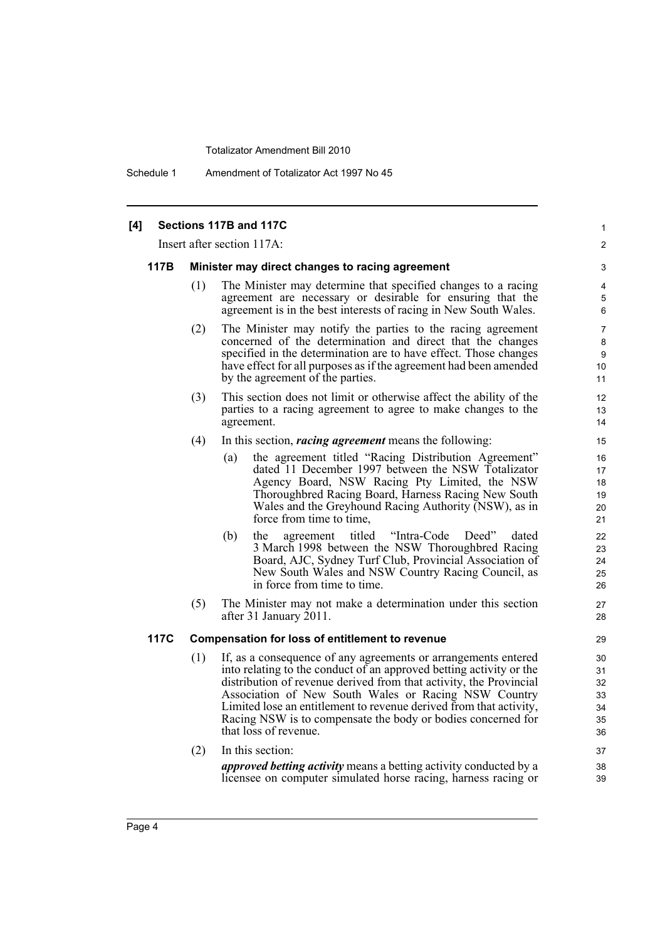Schedule 1 Amendment of Totalizator Act 1997 No 45

#### Page 4 **[4] Sections 117B and 117C** Insert after section 117A: **117B Minister may direct changes to racing agreement** (1) The Minister may determine that specified changes to a racing agreement are necessary or desirable for ensuring that the agreement is in the best interests of racing in New South Wales. (2) The Minister may notify the parties to the racing agreement concerned of the determination and direct that the changes specified in the determination are to have effect. Those changes have effect for all purposes as if the agreement had been amended by the agreement of the parties. (3) This section does not limit or otherwise affect the ability of the parties to a racing agreement to agree to make changes to the agreement. (4) In this section, *racing agreement* means the following: (a) the agreement titled "Racing Distribution Agreement" dated 11 December 1997 between the NSW Totalizator Agency Board, NSW Racing Pty Limited, the NSW Thoroughbred Racing Board, Harness Racing New South Wales and the Greyhound Racing Authority (NSW), as in force from time to time, (b) the agreement titled "Intra-Code Deed" dated 3 March 1998 between the NSW Thoroughbred Racing Board, AJC, Sydney Turf Club, Provincial Association of New South Wales and NSW Country Racing Council, as in force from time to time. (5) The Minister may not make a determination under this section after 31 January 2011. **117C Compensation for loss of entitlement to revenue** (1) If, as a consequence of any agreements or arrangements entered into relating to the conduct of an approved betting activity or the distribution of revenue derived from that activity, the Provincial Association of New South Wales or Racing NSW Country Limited lose an entitlement to revenue derived from that activity, Racing NSW is to compensate the body or bodies concerned for that loss of revenue. (2) In this section: *approved betting activity* means a betting activity conducted by a licensee on computer simulated horse racing, harness racing or

1  $\mathfrak{p}$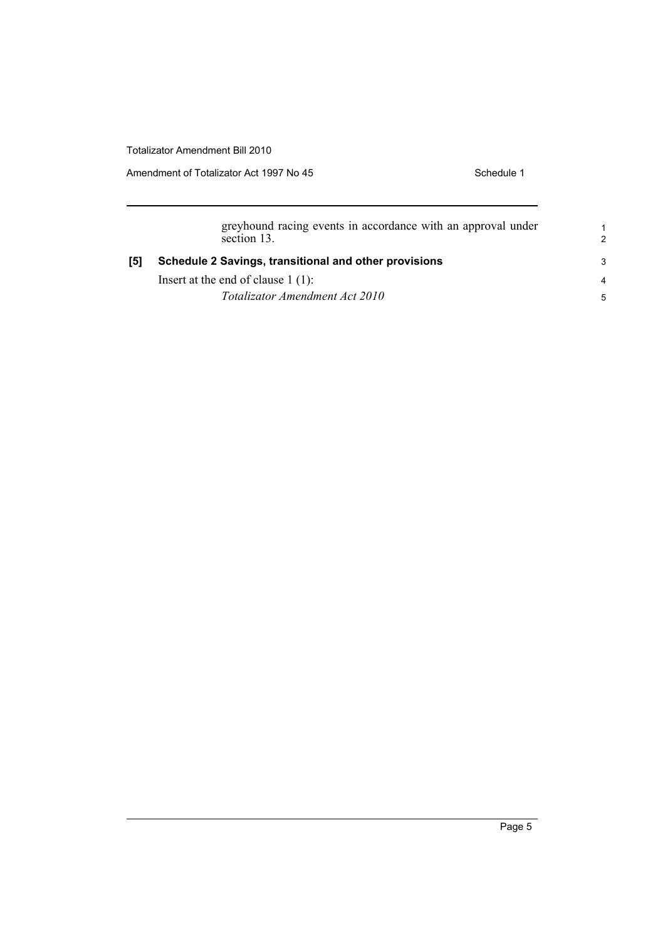Amendment of Totalizator Act 1997 No 45 Schedule 1

|     | greyhound racing events in accordance with an approval under<br>section 13. | $\overline{2}$ |
|-----|-----------------------------------------------------------------------------|----------------|
| [5] | Schedule 2 Savings, transitional and other provisions                       | -3             |
|     | Insert at the end of clause $1(1)$ :                                        | $\overline{4}$ |
|     | Totalizator Amendment Act 2010                                              | 5              |